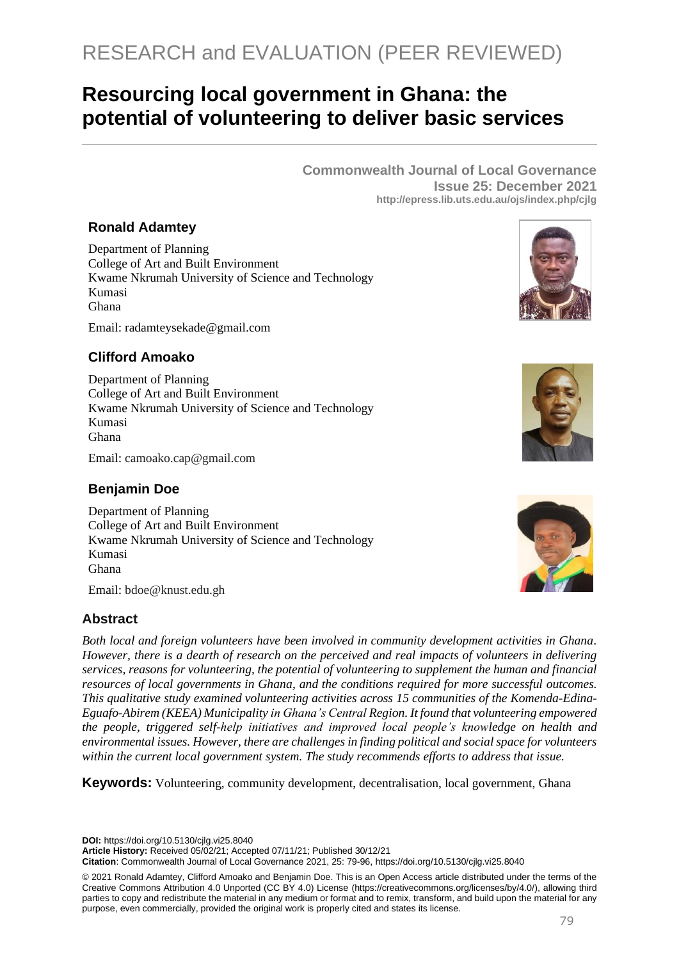# RESEARCH and EVALUATION (PEER REVIEWED)

## **Resourcing local government in Ghana: the potential of volunteering to deliver basic services**

**Commonwealth Journal of Local Governance Issue 25: December 2021 http://epress.lib.uts.edu.au/ojs/index.php/cjlg**

## **Ronald Adamtey**

Department of Planning College of Art and Built Environment Kwame Nkrumah University of Science and Technology Kumasi Ghana

Email: radamteysekade@gmail.com

## **Clifford Amoako**

Department of Planning College of Art and Built Environment Kwame Nkrumah University of Science and Technology Kumasi Ghana

Email: camoako.cap@gmail.com

## **Benjamin Doe**

Department of Planning College of Art and Built Environment Kwame Nkrumah University of Science and Technology Kumasi Ghana

Email: bdoe@knust.edu.gh

## **Abstract**

*Both local and foreign volunteers have been involved in community development activities in Ghana. However, there is a dearth of research on the perceived and real impacts of volunteers in delivering services, reasons for volunteering, the potential of volunteering to supplement the human and financial resources of local governments in Ghana, and the conditions required for more successful outcomes. This qualitative study examined volunteering activities across 15 communities of the Komenda-Edina-Eguafo-Abirem (KEEA) Municipality in Ghana's Central Region. It found that volunteering empowered the people, triggered self-help initiatives and improved local people's knowledge on health and environmental issues. However, there are challenges in finding political and social space for volunteers within the current local government system. The study recommends efforts to address that issue.* 

**Keywords:** Volunteering, community development, decentralisation, local government, Ghana

**DOI:** https://doi.org/10.5130/cjlg.vi25.8040

**Article History:** Received 05/02/21; Accepted 07/11/21; Published 30/12/21

**Citation**: Commonwealth Journal of Local Governance 2021, 25: 79-96, https://doi.org/10.5130/cjlg.vi25.8040

© 2021 Ronald Adamtey, Clifford Amoako and Benjamin Doe. This is an Open Access article distributed under the terms of the Creative Commons Attribution 4.0 Unported (CC BY 4.0) License [\(https://creativecommons.org/licenses/by/4.0/\)](https://creativecommons.org/licenses/by/4.0/), allowing third parties to copy and redistribute the material in any medium or format and to remix, transform, and build upon the material for any purpose, even commercially, provided the original work is properly cited and states its license.





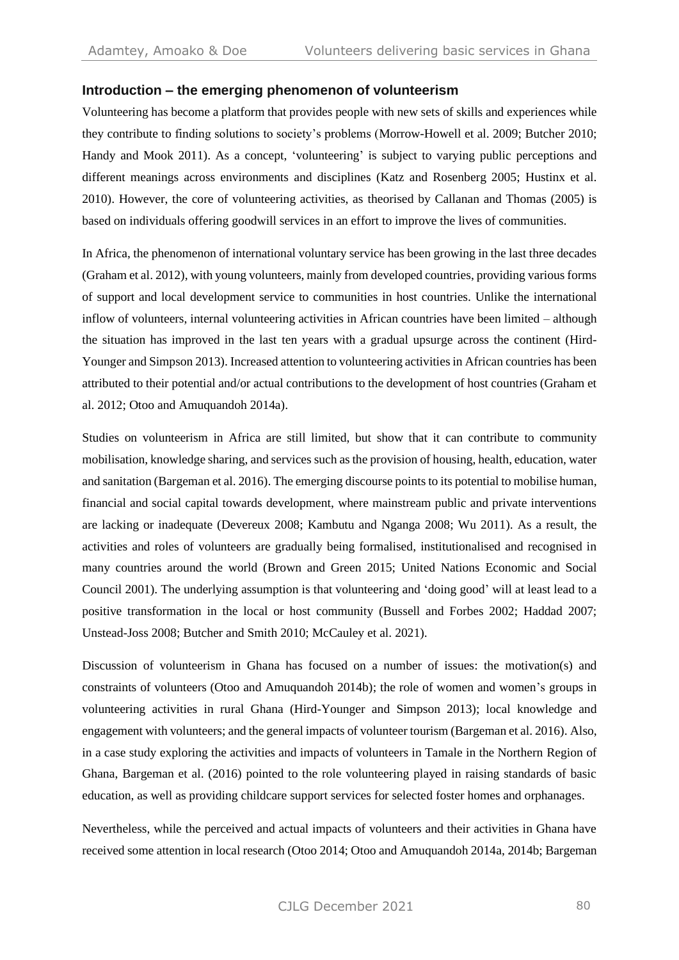#### **Introduction – the emerging phenomenon of volunteerism**

Volunteering has become a platform that provides people with new sets of skills and experiences while they contribute to finding solutions to society's problems (Morrow-Howell et al. 2009; Butcher 2010; Handy and Mook 2011). As a concept, 'volunteering' is subject to varying public perceptions and different meanings across environments and disciplines (Katz and Rosenberg 2005; Hustinx et al. 2010). However, the core of volunteering activities, as theorised by Callanan and Thomas (2005) is based on individuals offering goodwill services in an effort to improve the lives of communities.

In Africa, the phenomenon of international voluntary service has been growing in the last three decades (Graham et al. 2012), with young volunteers, mainly from developed countries, providing various forms of support and local development service to communities in host countries. Unlike the international inflow of volunteers, internal volunteering activities in African countries have been limited – although the situation has improved in the last ten years with a gradual upsurge across the continent (Hird-Younger and Simpson 2013). Increased attention to volunteering activities in African countries has been attributed to their potential and/or actual contributions to the development of host countries (Graham et al. 2012; Otoo and Amuquandoh 2014a).

Studies on volunteerism in Africa are still limited, but show that it can contribute to community mobilisation, knowledge sharing, and services such asthe provision of housing, health, education, water and sanitation (Bargeman et al. 2016). The emerging discourse points to its potential to mobilise human, financial and social capital towards development, where mainstream public and private interventions are lacking or inadequate (Devereux 2008; Kambutu and Nganga 2008; Wu 2011). As a result, the activities and roles of volunteers are gradually being formalised, institutionalised and recognised in many countries around the world (Brown and Green 2015; United Nations Economic and Social Council 2001). The underlying assumption is that volunteering and 'doing good' will at least lead to a positive transformation in the local or host community (Bussell and Forbes 2002; Haddad 2007; Unstead-Joss 2008; Butcher and Smith 2010; McCauley et al. 2021).

Discussion of volunteerism in Ghana has focused on a number of issues: the motivation(s) and constraints of volunteers (Otoo and Amuquandoh 2014b); the role of women and women's groups in volunteering activities in rural Ghana (Hird-Younger and Simpson 2013); local knowledge and engagement with volunteers; and the general impacts of volunteer tourism (Bargeman et al. 2016). Also, in a case study exploring the activities and impacts of volunteers in Tamale in the Northern Region of Ghana, Bargeman et al. (2016) pointed to the role volunteering played in raising standards of basic education, as well as providing childcare support services for selected foster homes and orphanages.

Nevertheless, while the perceived and actual impacts of volunteers and their activities in Ghana have received some attention in local research (Otoo 2014; Otoo and Amuquandoh 2014a, 2014b; Bargeman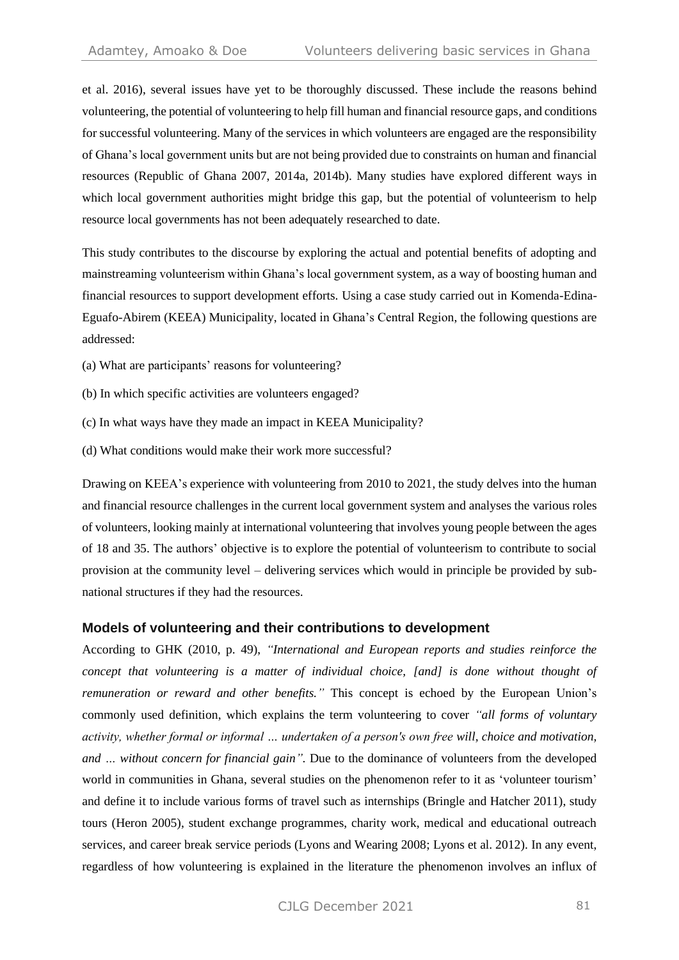et al. 2016), several issues have yet to be thoroughly discussed. These include the reasons behind volunteering, the potential of volunteering to help fill human and financial resource gaps, and conditions for successful volunteering. Many of the services in which volunteers are engaged are the responsibility of Ghana's local government units but are not being provided due to constraints on human and financial resources (Republic of Ghana 2007, 2014a, 2014b). Many studies have explored different ways in which local government authorities might bridge this gap, but the potential of volunteerism to help resource local governments has not been adequately researched to date.

This study contributes to the discourse by exploring the actual and potential benefits of adopting and mainstreaming volunteerism within Ghana's local government system, as a way of boosting human and financial resources to support development efforts. Using a case study carried out in Komenda-Edina-Eguafo-Abirem (KEEA) Municipality, located in Ghana's Central Region, the following questions are addressed:

- (a) What are participants' reasons for volunteering?
- (b) In which specific activities are volunteers engaged?
- (c) In what ways have they made an impact in KEEA Municipality?
- (d) What conditions would make their work more successful?

Drawing on KEEA's experience with volunteering from 2010 to 2021, the study delves into the human and financial resource challenges in the current local government system and analyses the various roles of volunteers, looking mainly at international volunteering that involves young people between the ages of 18 and 35. The authors' objective is to explore the potential of volunteerism to contribute to social provision at the community level – delivering services which would in principle be provided by subnational structures if they had the resources.

#### **Models of volunteering and their contributions to development**

According to GHK (2010, p. 49), *"International and European reports and studies reinforce the concept that volunteering is a matter of individual choice, [and] is done without thought of remuneration or reward and other benefits."* This concept is echoed by the European Union's commonly used definition, which explains the term volunteering to cover *"all forms of voluntary activity, whether formal or informal … undertaken of a person's own free will, choice and motivation, and … without concern for financial gain".* Due to the dominance of volunteers from the developed world in communities in Ghana, several studies on the phenomenon refer to it as 'volunteer tourism' and define it to include various forms of travel such as internships (Bringle and Hatcher 2011), study tours (Heron 2005), student exchange programmes, charity work, medical and educational outreach services, and career break service periods (Lyons and Wearing 2008; Lyons et al. 2012). In any event, regardless of how volunteering is explained in the literature the phenomenon involves an influx of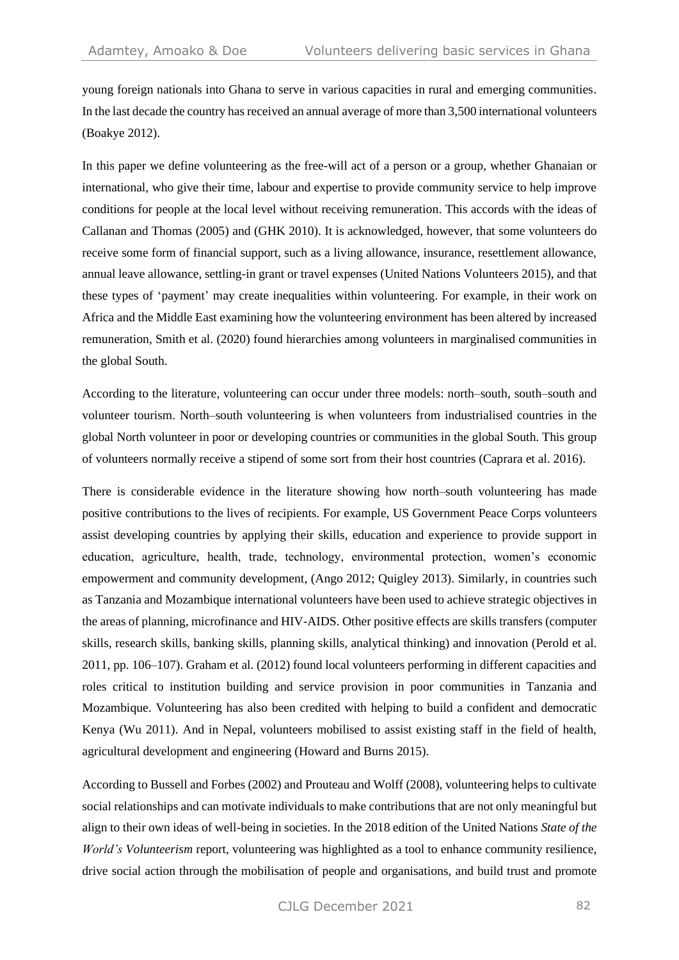young foreign nationals into Ghana to serve in various capacities in rural and emerging communities. In the last decade the country has received an annual average of more than 3,500 international volunteers (Boakye 2012).

In this paper we define volunteering as the free-will act of a person or a group, whether Ghanaian or international, who give their time, labour and expertise to provide community service to help improve conditions for people at the local level without receiving remuneration. This accords with the ideas of Callanan and Thomas (2005) and (GHK 2010). It is acknowledged, however, that some volunteers do receive some form of financial support, such as a living allowance, insurance, resettlement allowance, annual leave allowance, settling-in grant or travel expenses (United Nations Volunteers 2015), and that these types of 'payment' may create inequalities within volunteering. For example, in their work on Africa and the Middle East examining how the volunteering environment has been altered by increased remuneration, Smith et al. (2020) found hierarchies among volunteers in marginalised communities in the global South.

According to the literature, volunteering can occur under three models: north–south, south–south and volunteer tourism. North–south volunteering is when volunteers from industrialised countries in the global North volunteer in poor or developing countries or communities in the global South. This group of volunteers normally receive a stipend of some sort from their host countries (Caprara et al. 2016).

There is considerable evidence in the literature showing how north–south volunteering has made positive contributions to the lives of recipients. For example, US Government Peace Corps volunteers assist developing countries by applying their skills, education and experience to provide support in education, agriculture, health, trade, technology, environmental protection, women's economic empowerment and community development, (Ango 2012; Quigley 2013). Similarly, in countries such as Tanzania and Mozambique international volunteers have been used to achieve strategic objectives in the areas of planning, microfinance and HIV-AIDS. Other positive effects are skills transfers (computer skills, research skills, banking skills, planning skills, analytical thinking) and innovation (Perold et al. 2011, pp. 106–107). Graham et al. (2012) found local volunteers performing in different capacities and roles critical to institution building and service provision in poor communities in Tanzania and Mozambique. Volunteering has also been credited with helping to build a confident and democratic Kenya (Wu 2011). And in Nepal, volunteers mobilised to assist existing staff in the field of health, agricultural development and engineering (Howard and Burns 2015).

According to Bussell and Forbes (2002) and Prouteau and Wolff (2008), volunteering helps to cultivate social relationships and can motivate individuals to make contributions that are not only meaningful but align to their own ideas of well-being in societies. In the 2018 edition of the United Nations *State of the World's Volunteerism* report, volunteering was highlighted as a tool to enhance community resilience, drive social action through the mobilisation of people and organisations, and build trust and promote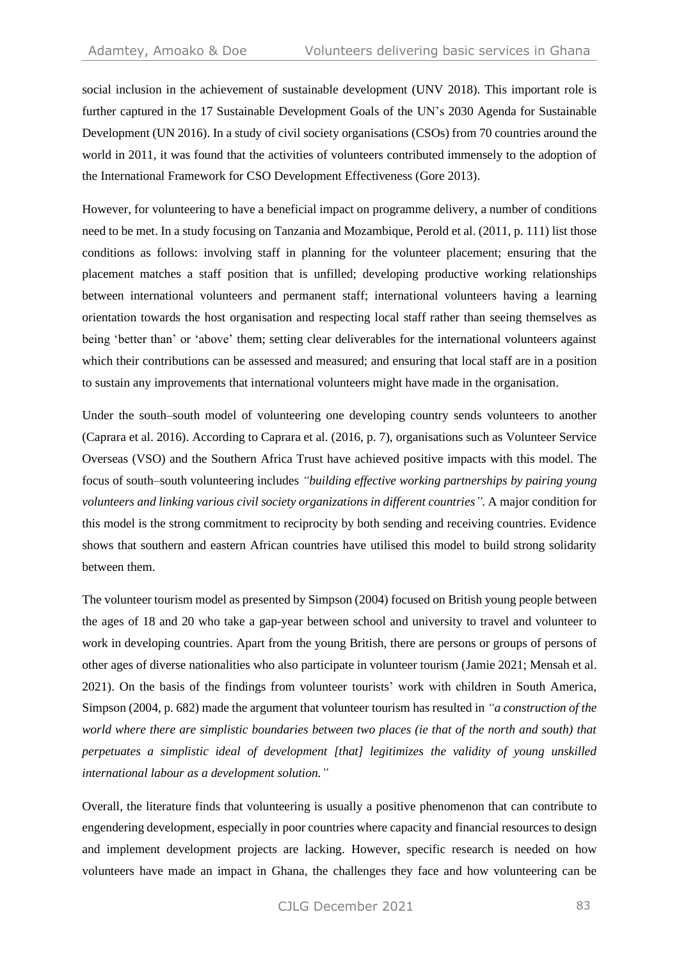social inclusion in the achievement of sustainable development (UNV 2018). This important role is further captured in the 17 Sustainable Development Goals of the UN's 2030 Agenda for Sustainable Development (UN 2016). In a study of civil society organisations (CSOs) from 70 countries around the world in 2011, it was found that the activities of volunteers contributed immensely to the adoption of the International Framework for CSO Development Effectiveness (Gore 2013).

However, for volunteering to have a beneficial impact on programme delivery, a number of conditions need to be met. In a study focusing on Tanzania and Mozambique, Perold et al. (2011, p. 111) list those conditions as follows: involving staff in planning for the volunteer placement; ensuring that the placement matches a staff position that is unfilled; developing productive working relationships between international volunteers and permanent staff; international volunteers having a learning orientation towards the host organisation and respecting local staff rather than seeing themselves as being 'better than' or 'above' them; setting clear deliverables for the international volunteers against which their contributions can be assessed and measured; and ensuring that local staff are in a position to sustain any improvements that international volunteers might have made in the organisation.

Under the south–south model of volunteering one developing country sends volunteers to another (Caprara et al. 2016). According to Caprara et al. (2016, p. 7), organisations such as Volunteer Service Overseas (VSO) and the Southern Africa Trust have achieved positive impacts with this model. The focus of south–south volunteering includes *"building effective working partnerships by pairing young volunteers and linking various civil society organizations in different countries".* A major condition for this model is the strong commitment to reciprocity by both sending and receiving countries. Evidence shows that southern and eastern African countries have utilised this model to build strong solidarity between them.

The volunteer tourism model as presented by Simpson (2004) focused on British young people between the ages of 18 and 20 who take a gap-year between school and university to travel and volunteer to work in developing countries. Apart from the young British, there are persons or groups of persons of other ages of diverse nationalities who also participate in volunteer tourism (Jamie 2021; Mensah et al. 2021). On the basis of the findings from volunteer tourists' work with children in South America, Simpson (2004, p. 682) made the argument that volunteer tourism has resulted in *"a construction of the world where there are simplistic boundaries between two places (ie that of the north and south) that perpetuates a simplistic ideal of development [that] legitimizes the validity of young unskilled international labour as a development solution."*

Overall, the literature finds that volunteering is usually a positive phenomenon that can contribute to engendering development, especially in poor countries where capacity and financial resources to design and implement development projects are lacking. However, specific research is needed on how volunteers have made an impact in Ghana, the challenges they face and how volunteering can be

CJLG December 2021 83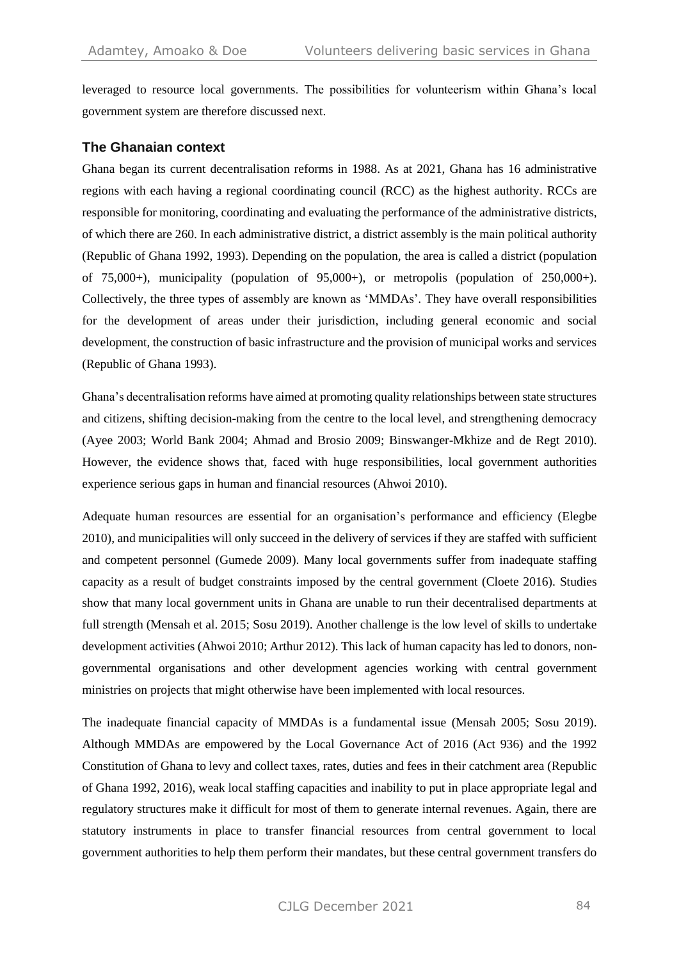leveraged to resource local governments. The possibilities for volunteerism within Ghana's local government system are therefore discussed next.

## **The Ghanaian context**

Ghana began its current decentralisation reforms in 1988. As at 2021, Ghana has 16 administrative regions with each having a regional coordinating council (RCC) as the highest authority. RCCs are responsible for monitoring, coordinating and evaluating the performance of the administrative districts, of which there are 260. In each administrative district, a district assembly is the main political authority (Republic of Ghana 1992, 1993). Depending on the population, the area is called a district (population of  $75,000+$ ), municipality (population of  $95,000+$ ), or metropolis (population of  $250,000+$ ). Collectively, the three types of assembly are known as 'MMDAs'. They have overall responsibilities for the development of areas under their jurisdiction, including general economic and social development, the construction of basic infrastructure and the provision of municipal works and services (Republic of Ghana 1993).

Ghana's decentralisation reforms have aimed at promoting quality relationships between state structures and citizens, shifting decision-making from the centre to the local level, and strengthening democracy (Ayee 2003; World Bank 2004; Ahmad and Brosio 2009; Binswanger-Mkhize and de Regt 2010). However, the evidence shows that, faced with huge responsibilities, local government authorities experience serious gaps in human and financial resources (Ahwoi 2010).

Adequate human resources are essential for an organisation's performance and efficiency (Elegbe 2010), and municipalities will only succeed in the delivery of services if they are staffed with sufficient and competent personnel (Gumede 2009). Many local governments suffer from inadequate staffing capacity as a result of budget constraints imposed by the central government (Cloete 2016). Studies show that many local government units in Ghana are unable to run their decentralised departments at full strength (Mensah et al. 2015; Sosu 2019). Another challenge is the low level of skills to undertake development activities (Ahwoi 2010; Arthur 2012). This lack of human capacity has led to donors, nongovernmental organisations and other development agencies working with central government ministries on projects that might otherwise have been implemented with local resources.

The inadequate financial capacity of MMDAs is a fundamental issue (Mensah 2005; Sosu 2019). Although MMDAs are empowered by the Local Governance Act of 2016 (Act 936) and the 1992 Constitution of Ghana to levy and collect taxes, rates, duties and fees in their catchment area (Republic of Ghana 1992, 2016), weak local staffing capacities and inability to put in place appropriate legal and regulatory structures make it difficult for most of them to generate internal revenues. Again, there are statutory instruments in place to transfer financial resources from central government to local government authorities to help them perform their mandates, but these central government transfers do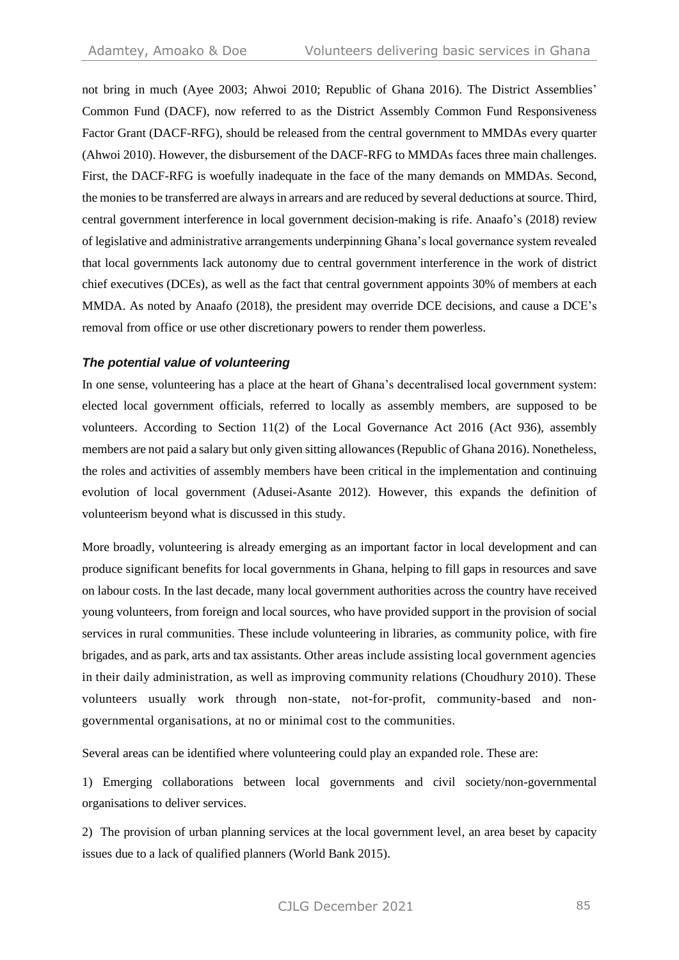not bring in much (Ayee 2003; Ahwoi 2010; Republic of Ghana 2016). The District Assemblies' Common Fund (DACF), now referred to as the District Assembly Common Fund Responsiveness Factor Grant (DACF-RFG), should be released from the central government to MMDAs every quarter (Ahwoi 2010). However, the disbursement of the DACF-RFG to MMDAs faces three main challenges. First, the DACF-RFG is woefully inadequate in the face of the many demands on MMDAs. Second, the monies to be transferred are always in arrears and are reduced by several deductions at source. Third, central government interference in local government decision-making is rife. Anaafo's (2018) review of legislative and administrative arrangements underpinning Ghana's local governance system revealed that local governments lack autonomy due to central government interference in the work of district chief executives (DCEs), as well as the fact that central government appoints 30% of members at each MMDA. As noted by Anaafo (2018), the president may override DCE decisions, and cause a DCE's removal from office or use other discretionary powers to render them powerless.

#### *The potential value of volunteering*

In one sense, volunteering has a place at the heart of Ghana's decentralised local government system: elected local government officials, referred to locally as assembly members, are supposed to be volunteers. According to Section 11(2) of the Local Governance Act 2016 (Act 936), assembly members are not paid a salary but only given sitting allowances (Republic of Ghana 2016). Nonetheless, the roles and activities of assembly members have been critical in the implementation and continuing evolution of local government (Adusei-Asante 2012). However, this expands the definition of volunteerism beyond what is discussed in this study.

More broadly, volunteering is already emerging as an important factor in local development and can produce significant benefits for local governments in Ghana, helping to fill gaps in resources and save on labour costs. In the last decade, many local government authorities across the country have received young volunteers, from foreign and local sources, who have provided support in the provision of social services in rural communities. These include volunteering in libraries, as community police, with fire brigades, and as park, arts and tax assistants. Other areas include assisting local government agencies in their daily administration, as well as improving community relations (Choudhury 2010). These volunteers usually work through non-state, not-for-profit, community-based and nongovernmental organisations, at no or minimal cost to the communities.

Several areas can be identified where volunteering could play an expanded role. These are:

1) Emerging collaborations between local governments and civil society/non-governmental organisations to deliver services.

2) The provision of urban planning services at the local government level, an area beset by capacity issues due to a lack of qualified planners (World Bank 2015).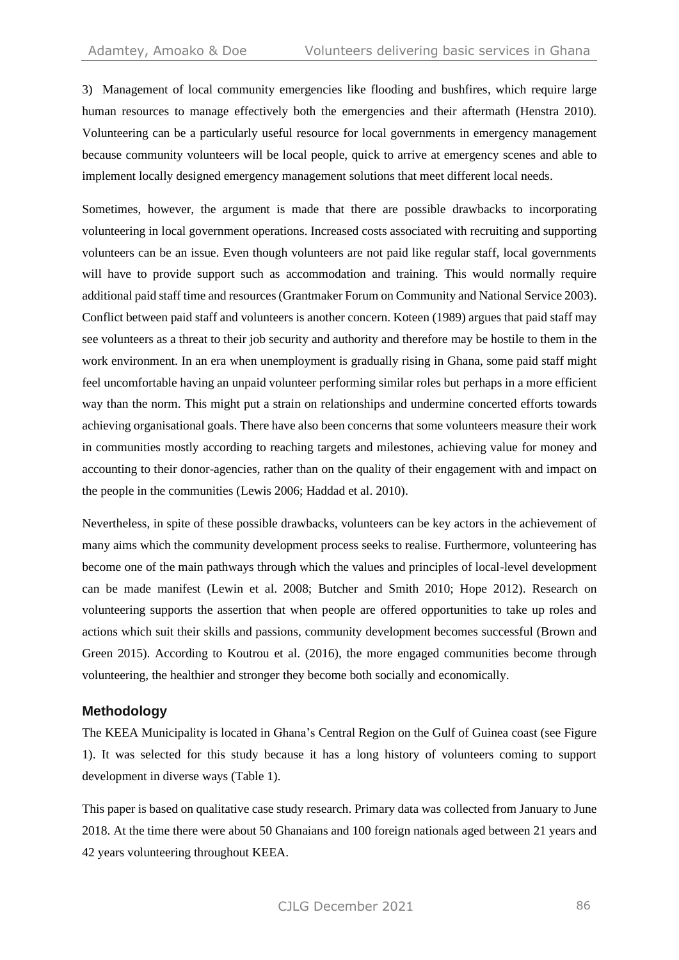3) Management of local community emergencies like flooding and bushfires, which require large human resources to manage effectively both the emergencies and their aftermath (Henstra 2010). Volunteering can be a particularly useful resource for local governments in emergency management because community volunteers will be local people, quick to arrive at emergency scenes and able to implement locally designed emergency management solutions that meet different local needs.

Sometimes, however, the argument is made that there are possible drawbacks to incorporating volunteering in local government operations. Increased costs associated with recruiting and supporting volunteers can be an issue. Even though volunteers are not paid like regular staff, local governments will have to provide support such as accommodation and training. This would normally require additional paid staff time and resources (Grantmaker Forum on Community and National Service 2003). Conflict between paid staff and volunteers is another concern. Koteen (1989) argues that paid staff may see volunteers as a threat to their job security and authority and therefore may be hostile to them in the work environment. In an era when unemployment is gradually rising in Ghana, some paid staff might feel uncomfortable having an unpaid volunteer performing similar roles but perhaps in a more efficient way than the norm. This might put a strain on relationships and undermine concerted efforts towards achieving organisational goals. There have also been concerns that some volunteers measure their work in communities mostly according to reaching targets and milestones, achieving value for money and accounting to their donor-agencies, rather than on the quality of their engagement with and impact on the people in the communities (Lewis 2006; Haddad et al. 2010).

Nevertheless, in spite of these possible drawbacks, volunteers can be key actors in the achievement of many aims which the community development process seeks to realise. Furthermore, volunteering has become one of the main pathways through which the values and principles of local-level development can be made manifest (Lewin et al. 2008; Butcher and Smith 2010; Hope 2012). Research on volunteering supports the assertion that when people are offered opportunities to take up roles and actions which suit their skills and passions, community development becomes successful (Brown and Green 2015). According to Koutrou et al. (2016), the more engaged communities become through volunteering, the healthier and stronger they become both socially and economically.

#### **Methodology**

The KEEA Municipality is located in Ghana's Central Region on the Gulf of Guinea coast (see Figure 1). It was selected for this study because it has a long history of volunteers coming to support development in diverse ways (Table 1).

This paper is based on qualitative case study research. Primary data was collected from January to June 2018. At the time there were about 50 Ghanaians and 100 foreign nationals aged between 21 years and 42 years volunteering throughout KEEA.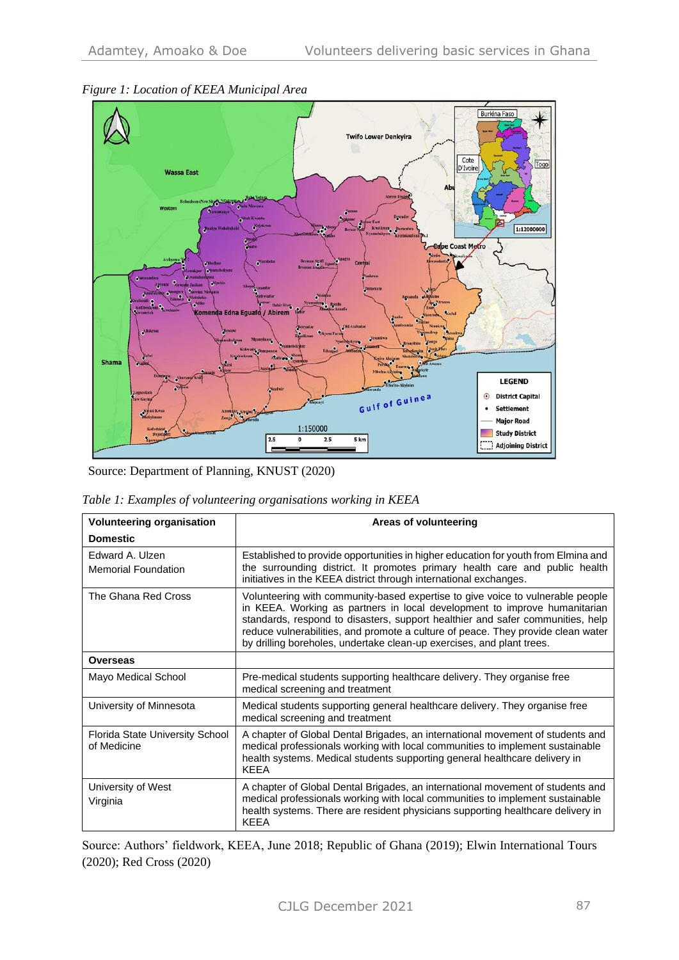

#### *Figure 1: Location of KEEA Municipal Area*

Source: Department of Planning, KNUST (2020)

|  |  |  |  | Table 1: Examples of volunteering organisations working in KEEA |
|--|--|--|--|-----------------------------------------------------------------|
|--|--|--|--|-----------------------------------------------------------------|

| <b>Volunteering organisation</b>               | Areas of volunteering                                                                                                                                                                                                                                                                                                                                                                                      |  |  |
|------------------------------------------------|------------------------------------------------------------------------------------------------------------------------------------------------------------------------------------------------------------------------------------------------------------------------------------------------------------------------------------------------------------------------------------------------------------|--|--|
| <b>Domestic</b>                                |                                                                                                                                                                                                                                                                                                                                                                                                            |  |  |
| Edward A. Ulzen<br><b>Memorial Foundation</b>  | Established to provide opportunities in higher education for youth from Elmina and<br>the surrounding district. It promotes primary health care and public health<br>initiatives in the KEEA district through international exchanges.                                                                                                                                                                     |  |  |
| The Ghana Red Cross                            | Volunteering with community-based expertise to give voice to vulnerable people<br>in KEEA. Working as partners in local development to improve humanitarian<br>standards, respond to disasters, support healthier and safer communities, help<br>reduce vulnerabilities, and promote a culture of peace. They provide clean water<br>by drilling boreholes, undertake clean-up exercises, and plant trees. |  |  |
| <b>Overseas</b>                                |                                                                                                                                                                                                                                                                                                                                                                                                            |  |  |
| Mayo Medical School                            | Pre-medical students supporting healthcare delivery. They organise free<br>medical screening and treatment                                                                                                                                                                                                                                                                                                 |  |  |
| University of Minnesota                        | Medical students supporting general healthcare delivery. They organise free<br>medical screening and treatment                                                                                                                                                                                                                                                                                             |  |  |
| Florida State University School<br>of Medicine | A chapter of Global Dental Brigades, an international movement of students and<br>medical professionals working with local communities to implement sustainable<br>health systems. Medical students supporting general healthcare delivery in<br><b>KFFA</b>                                                                                                                                               |  |  |
| University of West<br>Virginia                 | A chapter of Global Dental Brigades, an international movement of students and<br>medical professionals working with local communities to implement sustainable<br>health systems. There are resident physicians supporting healthcare delivery in<br><b>KFFA</b>                                                                                                                                          |  |  |

Source: Authors' fieldwork, KEEA, June 2018; Republic of Ghana (2019); Elwin International Tours (2020); Red Cross (2020)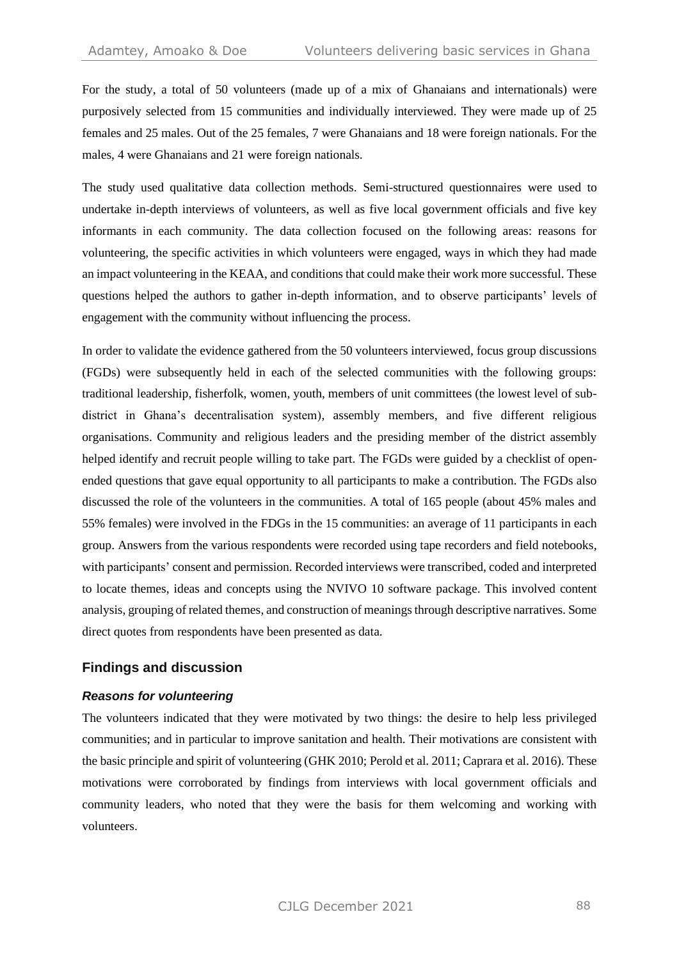For the study, a total of 50 volunteers (made up of a mix of Ghanaians and internationals) were purposively selected from 15 communities and individually interviewed. They were made up of 25 females and 25 males. Out of the 25 females, 7 were Ghanaians and 18 were foreign nationals. For the males, 4 were Ghanaians and 21 were foreign nationals.

The study used qualitative data collection methods. Semi-structured questionnaires were used to undertake in-depth interviews of volunteers, as well as five local government officials and five key informants in each community. The data collection focused on the following areas: reasons for volunteering, the specific activities in which volunteers were engaged, ways in which they had made an impact volunteering in the KEAA, and conditions that could make their work more successful. These questions helped the authors to gather in-depth information, and to observe participants' levels of engagement with the community without influencing the process.

In order to validate the evidence gathered from the 50 volunteers interviewed, focus group discussions (FGDs) were subsequently held in each of the selected communities with the following groups: traditional leadership, fisherfolk, women, youth, members of unit committees (the lowest level of subdistrict in Ghana's decentralisation system), assembly members, and five different religious organisations. Community and religious leaders and the presiding member of the district assembly helped identify and recruit people willing to take part. The FGDs were guided by a checklist of openended questions that gave equal opportunity to all participants to make a contribution. The FGDs also discussed the role of the volunteers in the communities. A total of 165 people (about 45% males and 55% females) were involved in the FDGs in the 15 communities: an average of 11 participants in each group. Answers from the various respondents were recorded using tape recorders and field notebooks, with participants' consent and permission. Recorded interviews were transcribed, coded and interpreted to locate themes, ideas and concepts using the NVIVO 10 software package. This involved content analysis, grouping of related themes, and construction of meanings through descriptive narratives. Some direct quotes from respondents have been presented as data.

#### **Findings and discussion**

#### *Reasons for volunteering*

The volunteers indicated that they were motivated by two things: the desire to help less privileged communities; and in particular to improve sanitation and health. Their motivations are consistent with the basic principle and spirit of volunteering (GHK 2010; Perold et al. 2011; Caprara et al. 2016). These motivations were corroborated by findings from interviews with local government officials and community leaders, who noted that they were the basis for them welcoming and working with volunteers.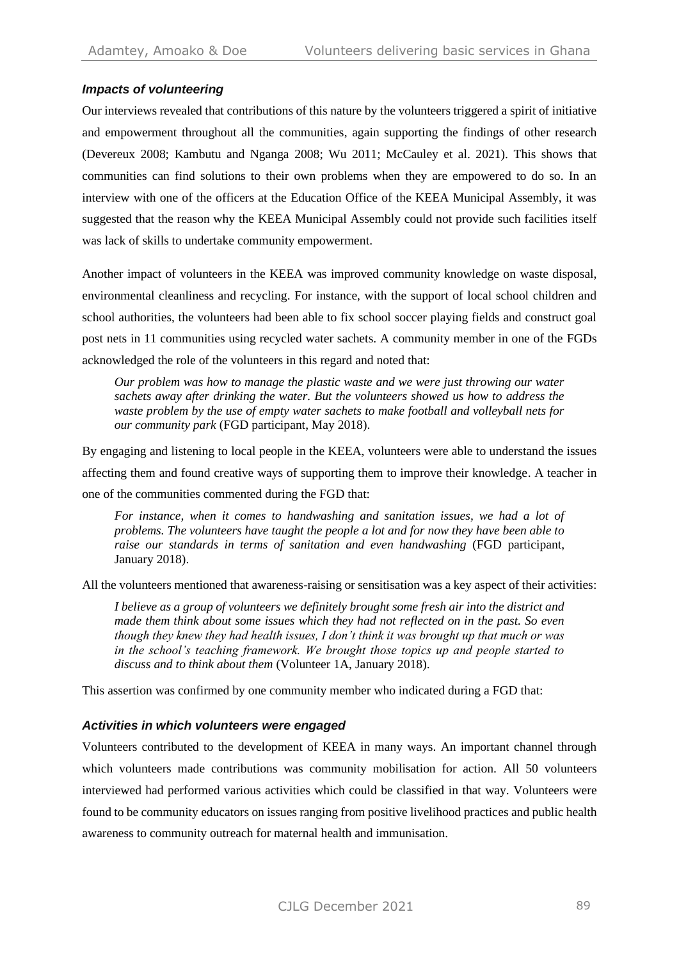## *Impacts of volunteering*

Our interviews revealed that contributions of this nature by the volunteers triggered a spirit of initiative and empowerment throughout all the communities, again supporting the findings of other research (Devereux 2008; Kambutu and Nganga 2008; Wu 2011; McCauley et al. 2021). This shows that communities can find solutions to their own problems when they are empowered to do so. In an interview with one of the officers at the Education Office of the KEEA Municipal Assembly, it was suggested that the reason why the KEEA Municipal Assembly could not provide such facilities itself was lack of skills to undertake community empowerment.

Another impact of volunteers in the KEEA was improved community knowledge on waste disposal, environmental cleanliness and recycling. For instance, with the support of local school children and school authorities, the volunteers had been able to fix school soccer playing fields and construct goal post nets in 11 communities using recycled water sachets. A community member in one of the FGDs acknowledged the role of the volunteers in this regard and noted that:

*Our problem was how to manage the plastic waste and we were just throwing our water sachets away after drinking the water. But the volunteers showed us how to address the waste problem by the use of empty water sachets to make football and volleyball nets for our community park* (FGD participant, May 2018).

By engaging and listening to local people in the KEEA, volunteers were able to understand the issues affecting them and found creative ways of supporting them to improve their knowledge. A teacher in one of the communities commented during the FGD that:

*For instance, when it comes to handwashing and sanitation issues, we had a lot of problems. The volunteers have taught the people a lot and for now they have been able to raise our standards in terms of sanitation and even handwashing* (FGD participant, January 2018).

All the volunteers mentioned that awareness-raising or sensitisation was a key aspect of their activities:

*I believe as a group of volunteers we definitely brought some fresh air into the district and made them think about some issues which they had not reflected on in the past. So even though they knew they had health issues, I don't think it was brought up that much or was in the school's teaching framework. We brought those topics up and people started to discuss and to think about them* (Volunteer 1A, January 2018).

This assertion was confirmed by one community member who indicated during a FGD that:

#### *Activities in which volunteers were engaged*

Volunteers contributed to the development of KEEA in many ways. An important channel through which volunteers made contributions was community mobilisation for action. All 50 volunteers interviewed had performed various activities which could be classified in that way. Volunteers were found to be community educators on issues ranging from positive livelihood practices and public health awareness to community outreach for maternal health and immunisation.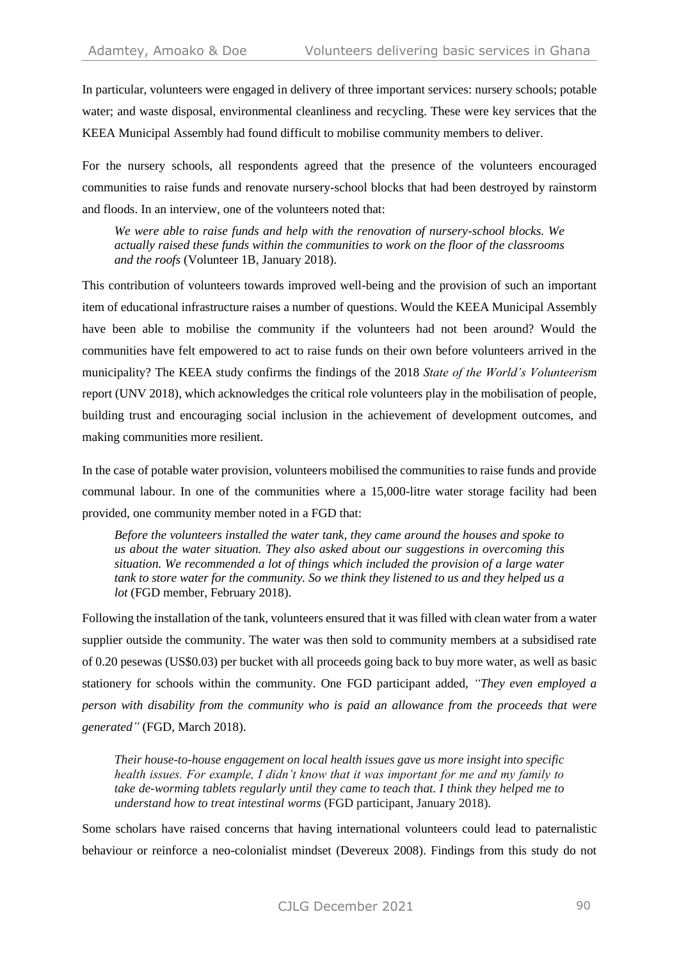In particular, volunteers were engaged in delivery of three important services: nursery schools; potable water; and waste disposal, environmental cleanliness and recycling. These were key services that the KEEA Municipal Assembly had found difficult to mobilise community members to deliver.

For the nursery schools, all respondents agreed that the presence of the volunteers encouraged communities to raise funds and renovate nursery-school blocks that had been destroyed by rainstorm and floods. In an interview, one of the volunteers noted that:

*We were able to raise funds and help with the renovation of nursery-school blocks. We actually raised these funds within the communities to work on the floor of the classrooms and the roofs* (Volunteer 1B, January 2018).

This contribution of volunteers towards improved well-being and the provision of such an important item of educational infrastructure raises a number of questions. Would the KEEA Municipal Assembly have been able to mobilise the community if the volunteers had not been around? Would the communities have felt empowered to act to raise funds on their own before volunteers arrived in the municipality? The KEEA study confirms the findings of the 2018 *State of the World's Volunteerism* report (UNV 2018), which acknowledges the critical role volunteers play in the mobilisation of people, building trust and encouraging social inclusion in the achievement of development outcomes, and making communities more resilient.

In the case of potable water provision, volunteers mobilised the communities to raise funds and provide communal labour. In one of the communities where a 15,000-litre water storage facility had been provided, one community member noted in a FGD that:

*Before the volunteers installed the water tank, they came around the houses and spoke to us about the water situation. They also asked about our suggestions in overcoming this situation. We recommended a lot of things which included the provision of a large water tank to store water for the community. So we think they listened to us and they helped us a lot* (FGD member, February 2018).

Following the installation of the tank, volunteers ensured that it was filled with clean water from a water supplier outside the community. The water was then sold to community members at a subsidised rate of 0.20 pesewas (US\$0.03) per bucket with all proceeds going back to buy more water, as well as basic stationery for schools within the community. One FGD participant added, *"They even employed a person with disability from the community who is paid an allowance from the proceeds that were generated"* (FGD, March 2018).

*Their house-to-house engagement on local health issues gave us more insight into specific health issues. For example, I didn't know that it was important for me and my family to take de-worming tablets regularly until they came to teach that. I think they helped me to understand how to treat intestinal worms* (FGD participant, January 2018).

Some scholars have raised concerns that having international volunteers could lead to paternalistic behaviour or reinforce a neo-colonialist mindset (Devereux 2008). Findings from this study do not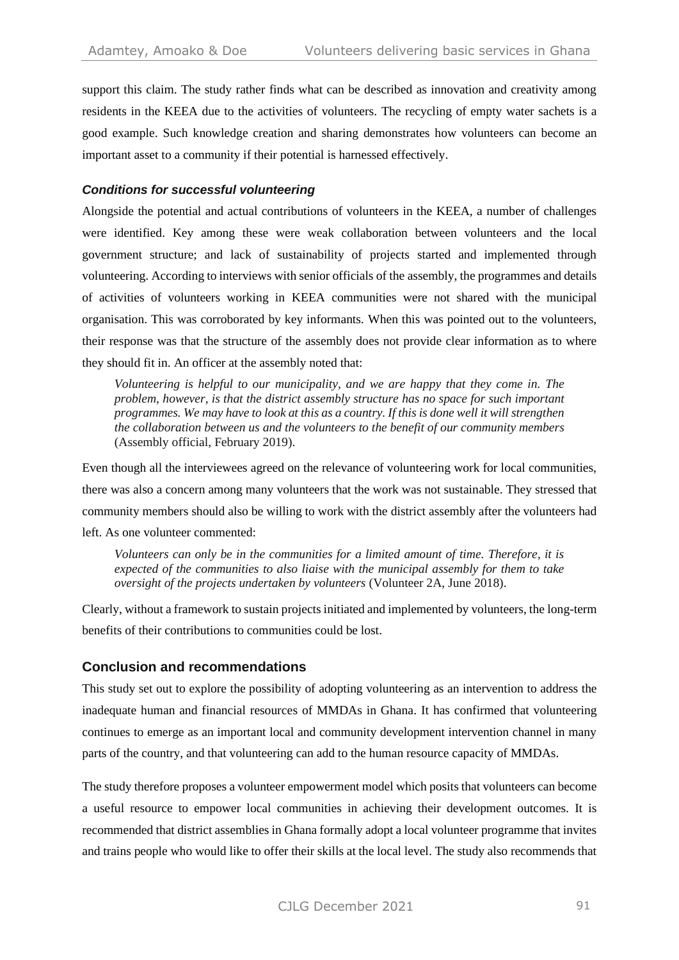support this claim. The study rather finds what can be described as innovation and creativity among residents in the KEEA due to the activities of volunteers. The recycling of empty water sachets is a good example. Such knowledge creation and sharing demonstrates how volunteers can become an important asset to a community if their potential is harnessed effectively.

#### *Conditions for successful volunteering*

Alongside the potential and actual contributions of volunteers in the KEEA, a number of challenges were identified. Key among these were weak collaboration between volunteers and the local government structure; and lack of sustainability of projects started and implemented through volunteering. According to interviews with senior officials of the assembly, the programmes and details of activities of volunteers working in KEEA communities were not shared with the municipal organisation. This was corroborated by key informants. When this was pointed out to the volunteers, their response was that the structure of the assembly does not provide clear information as to where they should fit in. An officer at the assembly noted that:

*Volunteering is helpful to our municipality, and we are happy that they come in. The problem, however, is that the district assembly structure has no space for such important programmes. We may have to look at this as a country. If this is done well it will strengthen the collaboration between us and the volunteers to the benefit of our community members*  (Assembly official, February 2019).

Even though all the interviewees agreed on the relevance of volunteering work for local communities, there was also a concern among many volunteers that the work was not sustainable. They stressed that community members should also be willing to work with the district assembly after the volunteers had left. As one volunteer commented:

*Volunteers can only be in the communities for a limited amount of time. Therefore, it is expected of the communities to also liaise with the municipal assembly for them to take oversight of the projects undertaken by volunteers* (Volunteer 2A, June 2018).

Clearly, without a framework to sustain projects initiated and implemented by volunteers, the long-term benefits of their contributions to communities could be lost.

#### **Conclusion and recommendations**

This study set out to explore the possibility of adopting volunteering as an intervention to address the inadequate human and financial resources of MMDAs in Ghana. It has confirmed that volunteering continues to emerge as an important local and community development intervention channel in many parts of the country, and that volunteering can add to the human resource capacity of MMDAs.

The study therefore proposes a volunteer empowerment model which posits that volunteers can become a useful resource to empower local communities in achieving their development outcomes. It is recommended that district assemblies in Ghana formally adopt a local volunteer programme that invites and trains people who would like to offer their skills at the local level. The study also recommends that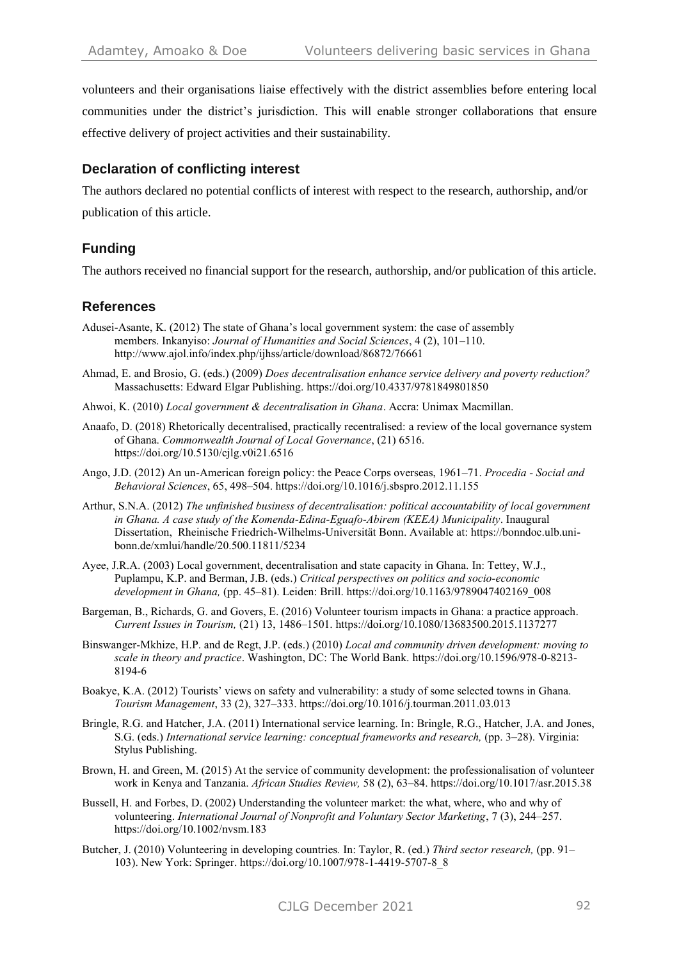volunteers and their organisations liaise effectively with the district assemblies before entering local communities under the district's jurisdiction. This will enable stronger collaborations that ensure effective delivery of project activities and their sustainability.

## **Declaration of conflicting interest**

The authors declared no potential conflicts of interest with respect to the research, authorship, and/or publication of this article.

## **Funding**

The authors received no financial support for the research, authorship, and/or publication of this article.

## **References**

- Adusei-Asante, K. (2012) The state of Ghana's local government system: the case of assembly members. Inkanyiso: *Journal of Humanities and Social Sciences*, 4 (2), 101–110. http://www.ajol.info/index.php/ijhss/article/download/86872/76661
- Ahmad, E. and Brosio, G. (eds.) (2009) *Does decentralisation enhance service delivery and poverty reduction?* Massachusetts: Edward Elgar Publishing. https://doi.org/10.4337/9781849801850
- Ahwoi, K. (2010) *Local government & decentralisation in Ghana*. Accra: Unimax Macmillan.
- Anaafo, D. (2018) Rhetorically decentralised, practically recentralised: a review of the local governance system of Ghana. *Commonwealth Journal of Local Governance*, (21) 6516. <https://doi.org/10.5130/cjlg.v0i21.6516>
- Ango, J.D. (2012) An un-American foreign policy: the Peace Corps overseas, 1961–71. *Procedia - Social and Behavioral Sciences*, 65, 498–504. https://doi.org/10.1016/j.sbspro.2012.11.155
- Arthur, S.N.A. (2012) *The unfinished business of decentralisation: political accountability of local government in Ghana. A case study of the Komenda-Edina-Eguafo-Abirem (KEEA) Municipality*. Inaugural Dissertation, Rheinische Friedrich-Wilhelms-Universität Bonn. Available at: https://bonndoc.ulb.unibonn.de/xmlui/handle/20.500.11811/5234
- Ayee, J.R.A. (2003) Local government, decentralisation and state capacity in Ghana. In: Tettey, W.J., Puplampu, K.P. and Berman, J.B. (eds.) *Critical perspectives on politics and socio-economic development in Ghana,* (pp. 45–81). Leiden: Brill. https://doi.org/10.1163/9789047402169\_008
- Bargeman, B., Richards, G. and Govers, E. (2016) Volunteer tourism impacts in Ghana: a practice approach. *Current Issues in Tourism,* (21) 13, 1486–1501.<https://doi.org/10.1080/13683500.2015.1137277>
- Binswanger-Mkhize, H.P. and de Regt, J.P. (eds.) (2010) *Local and community driven development: moving to scale in theory and practice*. Washington, DC: The World Bank. https://doi.org/10.1596/978-0-8213- 8194-6
- Boakye, K.A. (2012) Tourists' views on safety and vulnerability: a study of some selected towns in Ghana. *Tourism Management*, 33 (2), 327–333. https://doi.org/10.1016/j.tourman.2011.03.013
- Bringle, R.G. and Hatcher, J.A. (2011) International service learning. In: Bringle, R.G., Hatcher, J.A. and Jones, S.G. (eds.) *International service learning: conceptual frameworks and research,* (pp. 3–28). Virginia: Stylus Publishing.
- Brown, H. and Green, M. (2015) At the service of community development: the professionalisation of volunteer work in Kenya and Tanzania. *African Studies Review,* 58 (2), 63–84. https://doi.org/10.1017/asr.2015.38
- Bussell, H. and Forbes, D. (2002) Understanding the volunteer market: the what, where, who and why of volunteering. *International Journal of Nonprofit and Voluntary Sector Marketing*, 7 (3), 244–257. https://doi.org/10.1002/nvsm.183
- Butcher, J. (2010) Volunteering in developing countries*.* In: Taylor, R. (ed.) *Third sector research,* (pp. 91– 103). New York: Springer. https://doi.org/10.1007/978-1-4419-5707-8\_8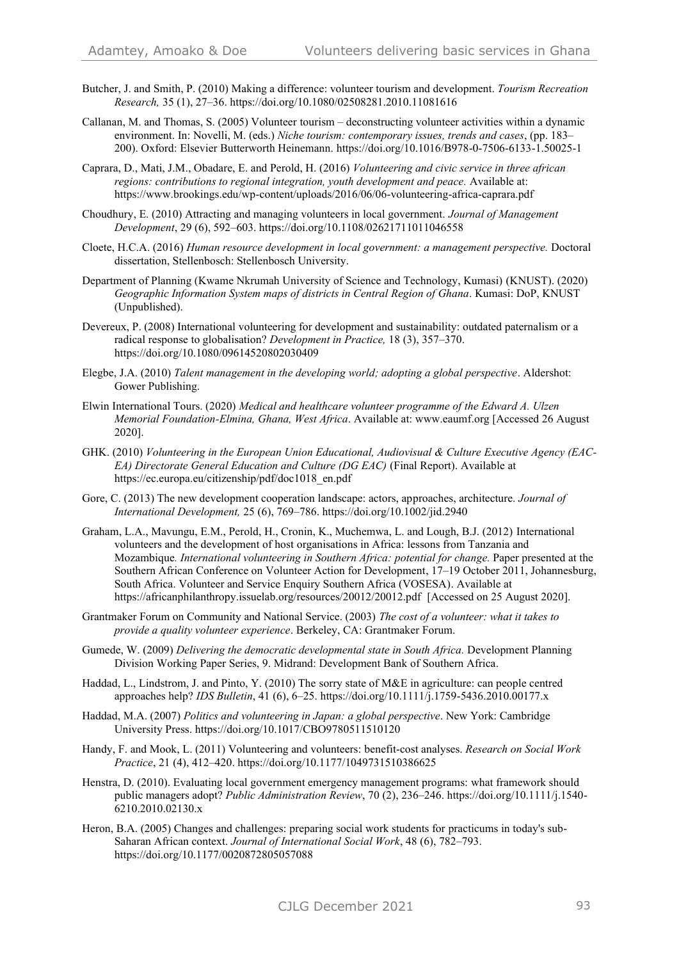- Butcher, J. and Smith, P. (2010) Making a difference: volunteer tourism and development. *Tourism Recreation Research,* 35 (1), 27–36. https://doi.org/10.1080/02508281.2010.11081616
- Callanan, M. and Thomas, S. (2005) Volunteer tourism deconstructing volunteer activities within a dynamic environment. In: Novelli, M. (eds.) *Niche tourism: contemporary issues, trends and cases*, (pp. 183– 200). Oxford: Elsevier Butterworth Heinemann. https://doi.org/10.1016/B978-0-7506-6133-1.50025-1
- Caprara, D., Mati, J.M., Obadare, E. and Perold, H. (2016) *Volunteering and civic service in three african regions: contributions to regional integration, youth development and peace.* Available at: https://www.brookings.edu/wp-content/uploads/2016/06/06-volunteering-africa-caprara.pdf
- Choudhury, E. (2010) Attracting and managing volunteers in local government. *Journal of Management Development*, 29 (6), 592–603. https://doi.org/10.1108/02621711011046558
- Cloete, H.C.A. (2016) *Human resource development in local government: a management perspective.* Doctoral dissertation, Stellenbosch: Stellenbosch University.
- Department of Planning (Kwame Nkrumah University of Science and Technology, Kumasi) (KNUST). (2020) *Geographic Information System maps of districts in Central Region of Ghana*. Kumasi: DoP, KNUST (Unpublished).
- Devereux, P. (2008) International volunteering for development and sustainability: outdated paternalism or a radical response to globalisation? *Development in Practice,* 18 (3), 357–370. https://doi.org/10.1080/09614520802030409
- Elegbe, J.A. (2010) *Talent management in the developing world; adopting a global perspective*. Aldershot: Gower Publishing.
- Elwin International Tours. (2020) *Medical and healthcare volunteer programme of the Edward A. Ulzen Memorial Foundation-Elmina, Ghana, West Africa*. Available at: www.eaumf.org [Accessed 26 August 2020].
- GHK. (2010) *Volunteering in the European Union Educational, Audiovisual & Culture Executive Agency (EAC-EA) Directorate General Education and Culture (DG EAC)* (Final Report). Available at https://ec.europa.eu/citizenship/pdf/doc1018\_en.pdf
- Gore, C. (2013) The new development cooperation landscape: actors, approaches, architecture. *Journal of International Development,* 25 (6), 769–786. https://doi.org/10.1002/jid.2940
- Graham, L.A., Mavungu, E.M., Perold, H., Cronin, K., Muchemwa, L. and Lough, B.J. (2012) International volunteers and the development of host organisations in Africa: lessons from Tanzania and Mozambique*. International volunteering in Southern Africa: potential for change.* Paper presented at the Southern African Conference on Volunteer Action for Development, 17–19 October 2011, Johannesburg, South Africa. Volunteer and Service Enquiry Southern Africa (VOSESA). Available at <https://africanphilanthropy.issuelab.org/resources/20012/20012.pdf>[Accessed on 25 August 2020].
- Grantmaker Forum on Community and National Service. (2003) *The cost of a volunteer: what it takes to provide a quality volunteer experience*. Berkeley, CA: Grantmaker Forum.
- Gumede, W. (2009) *Delivering the democratic developmental state in South Africa.* Development Planning Division Working Paper Series, 9. Midrand: Development Bank of Southern Africa.
- Haddad, L., Lindstrom, J. and Pinto, Y. (2010) The sorry state of M&E in agriculture: can people centred approaches help? *IDS Bulletin*, 41 (6), 6–25. https://doi.org/10.1111/j.1759-5436.2010.00177.x
- Haddad, M.A. (2007) *Politics and volunteering in Japan: a global perspective*. New York: Cambridge University Press. https://doi.org/10.1017/CBO9780511510120
- Handy, F. and Mook, L. (2011) Volunteering and volunteers: benefit-cost analyses. *Research on Social Work Practice*, 21 (4), 412–420. https://doi.org/10.1177/1049731510386625
- Henstra, D. (2010). Evaluating local government emergency management programs: what framework should public managers adopt? *Public Administration Review*, 70 (2), 236–246. https://doi.org/10.1111/j.1540- 6210.2010.02130.x
- Heron, B.A. (2005) Changes and challenges: preparing social work students for practicums in today's sub-Saharan African context. *Journal of International Social Work*, 48 (6), 782–793. https://doi.org/10.1177/0020872805057088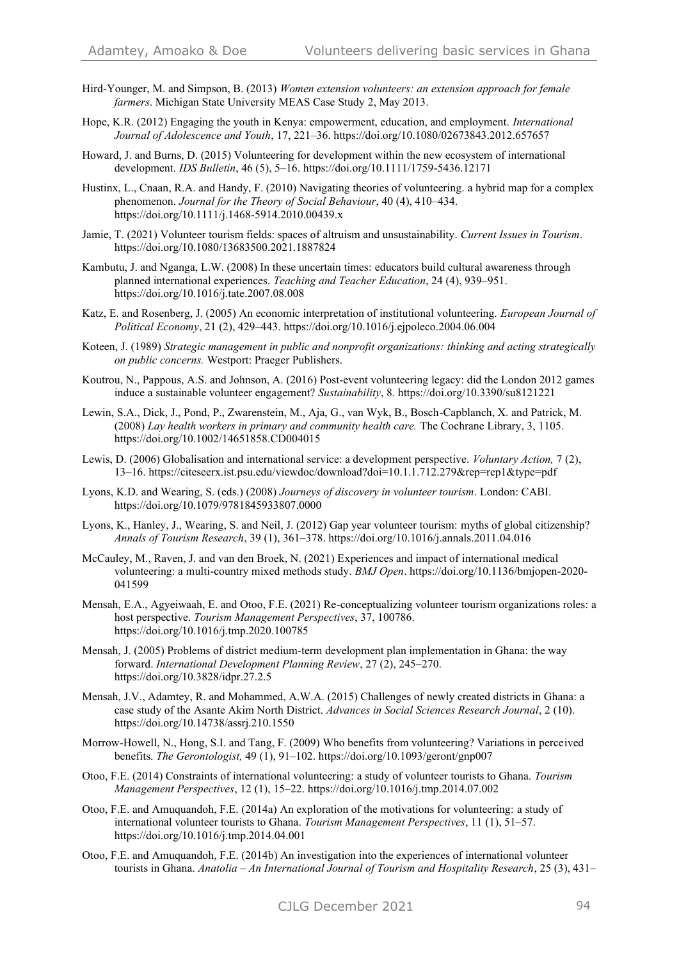- Hird-Younger, M. and Simpson, B. (2013) *Women extension volunteers: an extension approach for female farmers*. Michigan State University MEAS Case Study 2, May 2013.
- Hope, K.R. (2012) Engaging the youth in Kenya: empowerment, education, and employment. *International Journal of Adolescence and Youth*, 17, 221–36. https://doi.org/10.1080/02673843.2012.657657
- Howard, J. and Burns, D. (2015) Volunteering for development within the new ecosystem of international development. *IDS Bulletin*, 46 (5), 5–16. https://doi.org/10.1111/1759-5436.12171
- Hustinx, L., Cnaan, R.A. and Handy, F. (2010) Navigating theories of volunteering. a hybrid map for a complex phenomenon. *Journal for the Theory of Social Behaviour*, 40 (4), 410–434. https://doi.org/10.1111/j.1468-5914.2010.00439.x
- Jamie, T. (2021) Volunteer tourism fields: spaces of altruism and unsustainability. *Current Issues in Tourism*. https://doi.org/10.1080/13683500.2021.1887824
- Kambutu, J. and Nganga, L.W. (2008) In these uncertain times: educators build cultural awareness through planned international experiences. *Teaching and Teacher Education*, 24 (4), 939–951. https://doi.org/10.1016/j.tate.2007.08.008
- Katz, E. and Rosenberg, J. (2005) An economic interpretation of institutional volunteering. *European Journal of Political Economy*, 21 (2), 429–443. https://doi.org/10.1016/j.ejpoleco.2004.06.004
- Koteen, J. (1989) *Strategic management in public and nonprofit organizations: thinking and acting strategically on public concerns.* Westport: Praeger Publishers.
- Koutrou, N., Pappous, A.S. and Johnson, A. (2016) Post-event volunteering legacy: did the London 2012 games induce a sustainable volunteer engagement? *Sustainability*, 8. https://doi.org/10.3390/su8121221
- Lewin, S.A., Dick, J., Pond, P., Zwarenstein, M., Aja, G., van Wyk, B., Bosch-Capblanch, X. and Patrick, M. (2008) *Lay health workers in primary and community health care.* The Cochrane Library, 3, 1105. https://doi.org/10.1002/14651858.CD004015
- Lewis, D. (2006) Globalisation and international service: a development perspective. *Voluntary Action,* 7 (2), 13–16. https://citeseerx.ist.psu.edu/viewdoc/download?doi=10.1.1.712.279&rep=rep1&type=pdf
- Lyons, K.D. and Wearing, S. (eds.) (2008) *Journeys of discovery in volunteer tourism*. London: CABI. https://doi.org/10.1079/9781845933807.0000
- Lyons, K., Hanley, J., Wearing, S. and Neil, J. (2012) Gap year volunteer tourism: myths of global citizenship? *Annals of Tourism Research*, 39 (1), 361–378. https://doi.org/10.1016/j.annals.2011.04.016
- McCauley, M., Raven, J. and van den Broek, N. (2021) Experiences and impact of international medical volunteering: a multi-country mixed methods study. *BMJ Open*. https://doi.org/10.1136/bmjopen-2020- 041599
- Mensah, E.A., Agyeiwaah, E. and Otoo, F.E. (2021) Re-conceptualizing volunteer tourism organizations roles: a host perspective. *Tourism Management Perspectives*, 37, 100786. https://doi.org/10.1016/j.tmp.2020.100785
- Mensah, J. (2005) Problems of district medium-term development plan implementation in Ghana: the way forward. *International Development Planning Review*, 27 (2), 245–270. https://doi.org/10.3828/idpr.27.2.5
- Mensah, J.V., Adamtey, R. and Mohammed, A.W.A. (2015) Challenges of newly created districts in Ghana: a case study of the Asante Akim North District. *Advances in Social Sciences Research Journal*, 2 (10). https://doi.org/10.14738/assrj.210.1550
- Morrow-Howell, N., Hong, S.I. and Tang, F. (2009) Who benefits from volunteering? Variations in perceived benefits. *The Gerontologist,* 49 (1), 91–102. https://doi.org/10.1093/geront/gnp007
- Otoo, F.E. (2014) Constraints of international volunteering: a study of volunteer tourists to Ghana. *Tourism Management Perspectives*, 12 (1), 15–22. https://doi.org/10.1016/j.tmp.2014.07.002
- Otoo, F.E. and Amuquandoh, F.E. (2014a) An exploration of the motivations for volunteering: a study of international volunteer tourists to Ghana. *Tourism Management Perspectives*, 11 (1), 51–57. https://doi.org/10.1016/j.tmp.2014.04.001
- Otoo, F.E. and Amuquandoh, F.E. (2014b) An investigation into the experiences of international volunteer tourists in Ghana. *Anatolia – An International Journal of Tourism and Hospitality Research*, 25 (3), 431–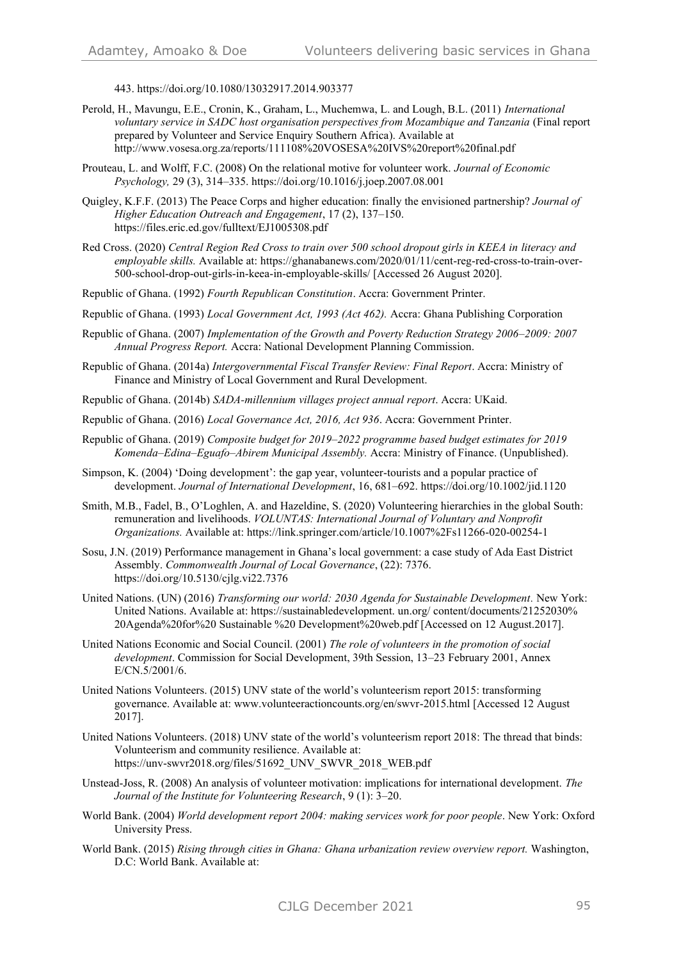443. https://doi.org/10.1080/13032917.2014.903377

- Perold, H., Mavungu, E.E., Cronin, K., Graham, L., Muchemwa, L. and Lough, B.L. (2011) *International voluntary service in SADC host organisation perspectives from Mozambique and Tanzania* (Final report prepared by Volunteer and Service Enquiry Southern Africa). Available at http://www.vosesa.org.za/reports/111108%20VOSESA%20IVS%20report%20final.pdf
- Prouteau, L. and Wolff, F.C. (2008) On the relational motive for volunteer work. *Journal of Economic Psychology,* 29 (3), 314–335[. https://doi.org/10.1016/j.joep.2007.08.001](https://doi.org/10.1016/j.joep.2007.08.001)
- Quigley, K.F.F. (2013) The Peace Corps and higher education: finally the envisioned partnership? *Journal of Higher Education Outreach and Engagement*, 17 (2), 137–150. https://files.eric.ed.gov/fulltext/EJ1005308.pdf
- Red Cross. (2020) *Central Region Red Cross to train over 500 school dropout girls in KEEA in literacy and employable skills.* Available at: https://ghanabanews.com/2020/01/11/cent-reg-red-cross-to-train-over-500-school-drop-out-girls-in-keea-in-employable-skills/ [Accessed 26 August 2020].
- Republic of Ghana. (1992) *Fourth Republican Constitution*. Accra: Government Printer.
- Republic of Ghana. (1993) *Local Government Act, 1993 (Act 462).* Accra: Ghana Publishing Corporation
- Republic of Ghana. (2007) *Implementation of the Growth and Poverty Reduction Strategy 2006–2009: 2007 Annual Progress Report.* Accra: National Development Planning Commission.
- Republic of Ghana. (2014a) *Intergovernmental Fiscal Transfer Review: Final Report*. Accra: Ministry of Finance and Ministry of Local Government and Rural Development.
- Republic of Ghana. (2014b) *SADA-millennium villages project annual report*. Accra: UKaid.

Republic of Ghana. (2016) *Local Governance Act, 2016, Act 936*. Accra: Government Printer.

- Republic of Ghana. (2019) *Composite budget for 2019–2022 programme based budget estimates for 2019 Komenda–Edina–Eguafo–Abirem Municipal Assembly.* Accra: Ministry of Finance. (Unpublished).
- Simpson, K. (2004) 'Doing development': the gap year, volunteer-tourists and a popular practice of development. *Journal of International Development*, 16, 681–692. https://doi.org/10.1002/jid.1120
- Smith, M.B., Fadel, B., O'Loghlen, A. and Hazeldine, S. (2020) Volunteering hierarchies in the global South: remuneration and livelihoods. *VOLUNTAS: International Journal of Voluntary and Nonprofit Organizations.* Available at: https://link.springer.com/article/10.1007%2Fs11266-020-00254-1
- Sosu, J.N. (2019) Performance management in Ghana's local government: a case study of Ada East District Assembly. *Commonwealth Journal of Local Governance*, (22): 7376. https://doi.org/10.5130/cjlg.vi22.7376
- United Nations. (UN) (2016) *Transforming our world: 2030 Agenda for Sustainable Development.* New York: United Nations. Available at: https://sustainabledevelopment. un.org/ content/documents/21252030% 20Agenda%20for%20 Sustainable %20 Development%20web.pdf [Accessed on 12 August.2017].
- United Nations Economic and Social Council. (2001) *The role of volunteers in the promotion of social development*. Commission for Social Development, 39th Session, 13–23 February 2001, Annex E/CN.5/2001/6.
- United Nations Volunteers. (2015) UNV state of the world's volunteerism report 2015: transforming governance. Available at: www.volunteeractioncounts.org/en/swvr-2015.html [Accessed 12 August 2017].
- United Nations Volunteers. (2018) UNV state of the world's volunteerism report 2018: The thread that binds: Volunteerism and community resilience. Available at: https://unv-swvr2018.org/files/51692\_UNV\_SWVR\_2018\_WEB.pdf
- Unstead-Joss, R. (2008) An analysis of volunteer motivation: implications for international development. *The Journal of the Institute for Volunteering Research*, 9 (1): 3–20.
- World Bank. (2004) *World development report 2004: making services work for poor people*. New York: Oxford University Press.
- World Bank. (2015) *Rising through cities in Ghana: Ghana urbanization review overview report.* Washington, D.C: World Bank. Available at: